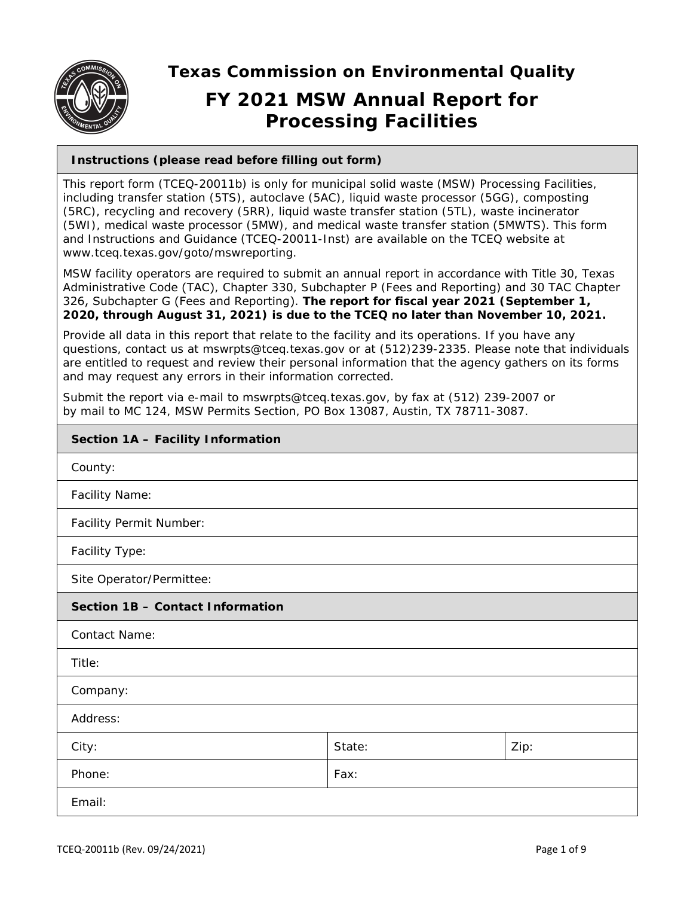

**Texas Commission on Environmental Quality** 

# **FY 2021 MSW Annual Report for Processing Facilities**

# **Instructions (please read before filling out form)**

This report form (TCEQ-20011b) is only for municipal solid waste (MSW) Processing Facilities, including transfer station (5TS), autoclave (5AC), liquid waste processor (5GG), composting (5RC), recycling and recovery (5RR), liquid waste transfer station (5TL), waste incinerator (5WI), medical waste processor (5MW), and medical waste transfer station (5MWTS). This form and Instructions and Guidance (TCEQ-20011-Inst) are available on the TCEQ website at www.tceq.texas.gov/goto/mswreporting.

MSW facility operators are required to submit an annual report in accordance with Title 30, Texas Administrative Code (TAC), Chapter 330, Subchapter P (Fees and Reporting) and 30 TAC Chapter 326, Subchapter G (Fees and Reporting). **The report for fiscal year 2021 (September 1, 2020, through August 31, 2021) is due to the TCEQ no later than November 10, 2021.**

Provide all data in this report that relate to the facility and its operations. If you have any questions, contact us at mswrpts@tceq.texas.gov or at (512)239-2335. Please note that individuals are entitled to request and review their personal information that the agency gathers on its forms and may request any errors in their information corrected.

Submit the report via e-mail to mswrpts@tceq.texas.gov, by fax at (512) 239-2007 or by mail to MC 124, MSW Permits Section, PO Box 13087, Austin, TX 78711-3087.

| Section 1A - Facility Information |        |      |  |  |
|-----------------------------------|--------|------|--|--|
| County:                           |        |      |  |  |
| <b>Facility Name:</b>             |        |      |  |  |
| Facility Permit Number:           |        |      |  |  |
| Facility Type:                    |        |      |  |  |
| Site Operator/Permittee:          |        |      |  |  |
| Section 1B - Contact Information  |        |      |  |  |
| <b>Contact Name:</b>              |        |      |  |  |
| Title:                            |        |      |  |  |
| Company:                          |        |      |  |  |
| Address:                          |        |      |  |  |
| City:                             | State: | Zip: |  |  |
| Phone:                            | Fax:   |      |  |  |
| Email:                            |        |      |  |  |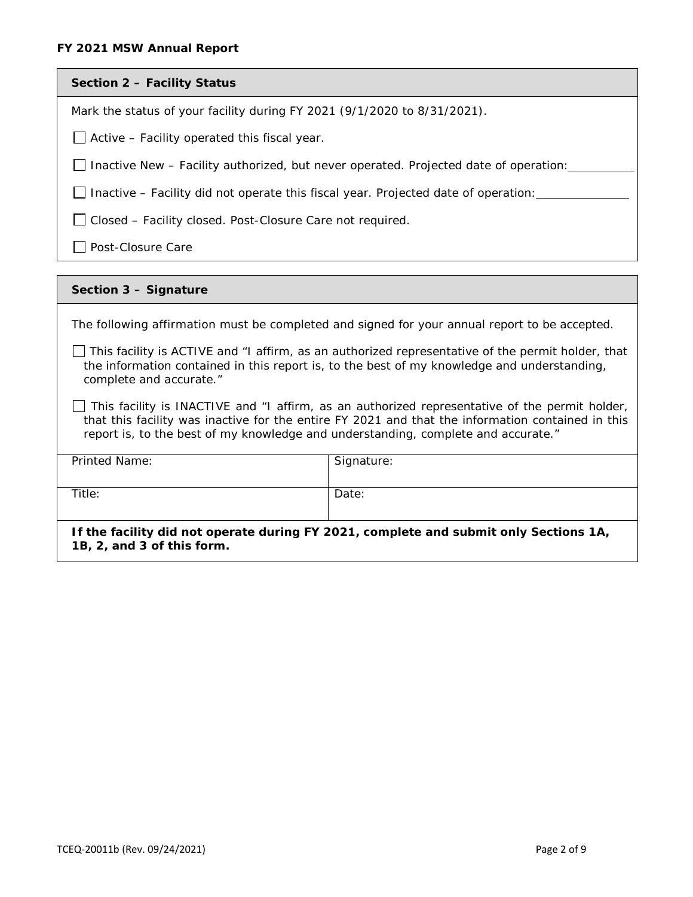## **FY 2021 MSW Annual Report**

| Section 2 - Facility Status                                                                                                                                                                                                                                                              |                                                                                               |  |  |
|------------------------------------------------------------------------------------------------------------------------------------------------------------------------------------------------------------------------------------------------------------------------------------------|-----------------------------------------------------------------------------------------------|--|--|
| Mark the status of your facility during FY 2021 (9/1/2020 to 8/31/2021).                                                                                                                                                                                                                 |                                                                                               |  |  |
| Active - Facility operated this fiscal year.                                                                                                                                                                                                                                             |                                                                                               |  |  |
|                                                                                                                                                                                                                                                                                          | Inactive New - Facility authorized, but never operated. Projected date of operation:          |  |  |
| Inactive – Facility did not operate this fiscal year. Projected date of operation:                                                                                                                                                                                                       |                                                                                               |  |  |
| Closed - Facility closed. Post-Closure Care not required.                                                                                                                                                                                                                                |                                                                                               |  |  |
| Post-Closure Care                                                                                                                                                                                                                                                                        |                                                                                               |  |  |
|                                                                                                                                                                                                                                                                                          |                                                                                               |  |  |
| Section 3 - Signature                                                                                                                                                                                                                                                                    |                                                                                               |  |  |
|                                                                                                                                                                                                                                                                                          | The following affirmation must be completed and signed for your annual report to be accepted. |  |  |
| This facility is ACTIVE and "I affirm, as an authorized representative of the permit holder, that<br>the information contained in this report is, to the best of my knowledge and understanding,<br>complete and accurate."                                                              |                                                                                               |  |  |
| This facility is INACTIVE and "I affirm, as an authorized representative of the permit holder,<br>that this facility was inactive for the entire FY 2021 and that the information contained in this<br>report is, to the best of my knowledge and understanding, complete and accurate." |                                                                                               |  |  |
| Printed Name:                                                                                                                                                                                                                                                                            | Signature:                                                                                    |  |  |
| Title:                                                                                                                                                                                                                                                                                   | Date:                                                                                         |  |  |

**If the facility did not operate during FY 2021, complete and submit only Sections 1A, 1B, 2, and 3 of this form.**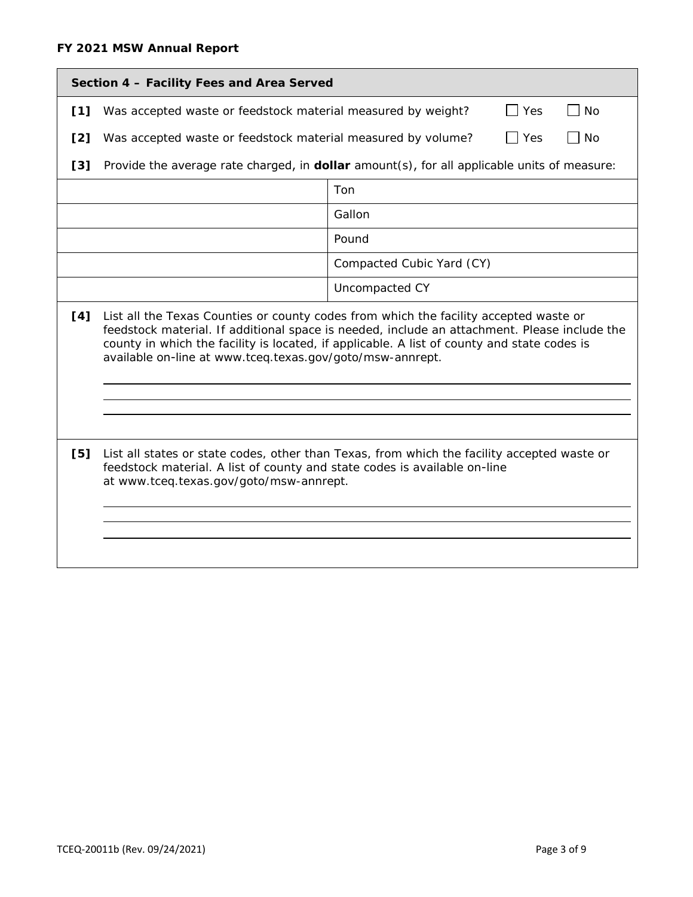| Section 4 - Facility Fees and Area Served |                                                                                                                                                                                                                                                                                                                                                   |                                                                                             |  |  |  |
|-------------------------------------------|---------------------------------------------------------------------------------------------------------------------------------------------------------------------------------------------------------------------------------------------------------------------------------------------------------------------------------------------------|---------------------------------------------------------------------------------------------|--|--|--|
| [1]                                       | Was accepted waste or feedstock material measured by weight?<br>Yes<br><b>No</b><br>$\overline{\phantom{a}}$                                                                                                                                                                                                                                      |                                                                                             |  |  |  |
| [2]                                       | Was accepted waste or feedstock material measured by volume?<br>$\Box$ Yes<br>No                                                                                                                                                                                                                                                                  |                                                                                             |  |  |  |
| [3]                                       |                                                                                                                                                                                                                                                                                                                                                   | Provide the average rate charged, in dollar amount(s), for all applicable units of measure: |  |  |  |
|                                           | Ton                                                                                                                                                                                                                                                                                                                                               |                                                                                             |  |  |  |
|                                           | Gallon                                                                                                                                                                                                                                                                                                                                            |                                                                                             |  |  |  |
|                                           | Pound                                                                                                                                                                                                                                                                                                                                             |                                                                                             |  |  |  |
|                                           | Compacted Cubic Yard (CY)                                                                                                                                                                                                                                                                                                                         |                                                                                             |  |  |  |
|                                           | Uncompacted CY                                                                                                                                                                                                                                                                                                                                    |                                                                                             |  |  |  |
| [4]                                       | List all the Texas Counties or county codes from which the facility accepted waste or<br>feedstock material. If additional space is needed, include an attachment. Please include the<br>county in which the facility is located, if applicable. A list of county and state codes is<br>available on-line at www.tceq.texas.gov/goto/msw-annrept. |                                                                                             |  |  |  |
|                                           |                                                                                                                                                                                                                                                                                                                                                   |                                                                                             |  |  |  |
| [5]                                       | List all states or state codes, other than Texas, from which the facility accepted waste or<br>feedstock material. A list of county and state codes is available on-line<br>at www.tceq.texas.gov/goto/msw-annrept.                                                                                                                               |                                                                                             |  |  |  |
|                                           |                                                                                                                                                                                                                                                                                                                                                   |                                                                                             |  |  |  |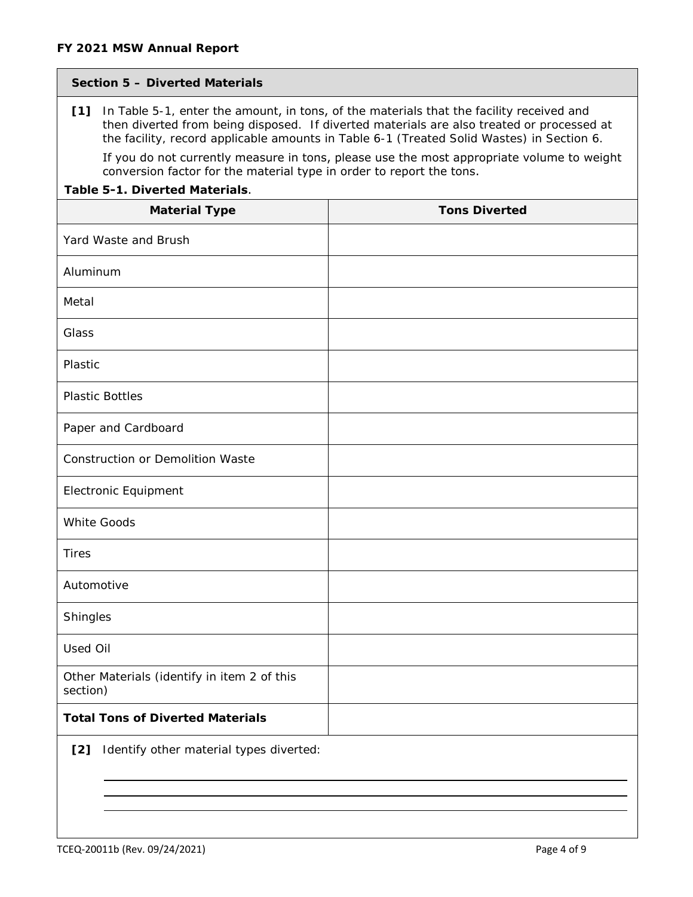## **Section 5 – Diverted Materials**

**[1]** In Table 5-1, enter the amount, in tons, of the materials that the facility received and then diverted from being disposed. If diverted materials are also treated or processed at the facility, record applicable amounts in Table 6-1 (Treated Solid Wastes) in Section 6.

If you do not currently measure in tons, please use the most appropriate volume to weight conversion factor for the material type in order to report the tons.

# **Table 5-1. Diverted Materials**.

| <b>Material Type</b>                                    | <b>Tons Diverted</b> |
|---------------------------------------------------------|----------------------|
| Yard Waste and Brush                                    |                      |
| Aluminum                                                |                      |
| Metal                                                   |                      |
| Glass                                                   |                      |
| Plastic                                                 |                      |
| <b>Plastic Bottles</b>                                  |                      |
| Paper and Cardboard                                     |                      |
| Construction or Demolition Waste                        |                      |
| <b>Electronic Equipment</b>                             |                      |
| <b>White Goods</b>                                      |                      |
| <b>Tires</b>                                            |                      |
| Automotive                                              |                      |
| Shingles                                                |                      |
| Used Oil                                                |                      |
| Other Materials (identify in item 2 of this<br>section) |                      |
| <b>Total Tons of Diverted Materials</b>                 |                      |

**[2]** Identify other material types diverted: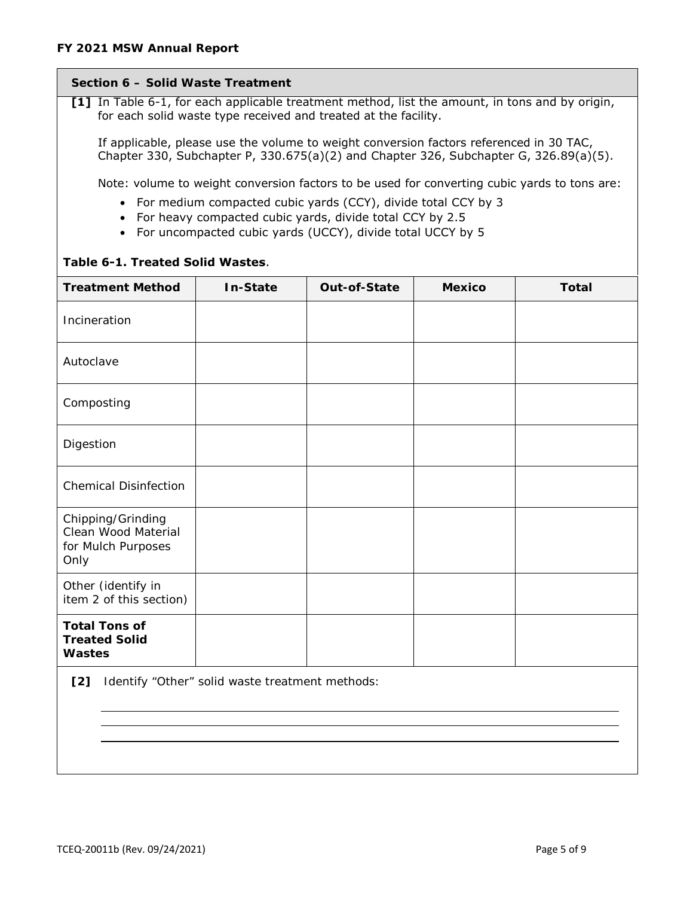## **Section 6 – Solid Waste Treatment**

**[1]** In Table 6-1, for each applicable treatment method, list the amount, in tons and by origin, for each solid waste type received and treated at the facility.

If applicable, please use the volume to weight conversion factors referenced in 30 TAC, Chapter 330, Subchapter P, 330.675(a)(2) and Chapter 326, Subchapter G, 326.89(a)(5).

Note: volume to weight conversion factors to be used for converting cubic yards to tons are:

- For medium compacted cubic yards (CCY), divide total CCY by 3
- For heavy compacted cubic yards, divide total CCY by 2.5
- For uncompacted cubic yards (UCCY), divide total UCCY by 5

## **Table 6-1. Treated Solid Wastes**.

| <b>Treatment Method</b>                                                | <b>In-State</b> | <b>Out-of-State</b> | <b>Mexico</b> | <b>Total</b> |
|------------------------------------------------------------------------|-----------------|---------------------|---------------|--------------|
| Incineration                                                           |                 |                     |               |              |
| Autoclave                                                              |                 |                     |               |              |
| Composting                                                             |                 |                     |               |              |
| Digestion                                                              |                 |                     |               |              |
| <b>Chemical Disinfection</b>                                           |                 |                     |               |              |
| Chipping/Grinding<br>Clean Wood Material<br>for Mulch Purposes<br>Only |                 |                     |               |              |
| Other (identify in<br>item 2 of this section)                          |                 |                     |               |              |
| <b>Total Tons of</b><br><b>Treated Solid</b><br><b>Wastes</b>          |                 |                     |               |              |
| [2]<br>Identify "Other" solid waste treatment methods:                 |                 |                     |               |              |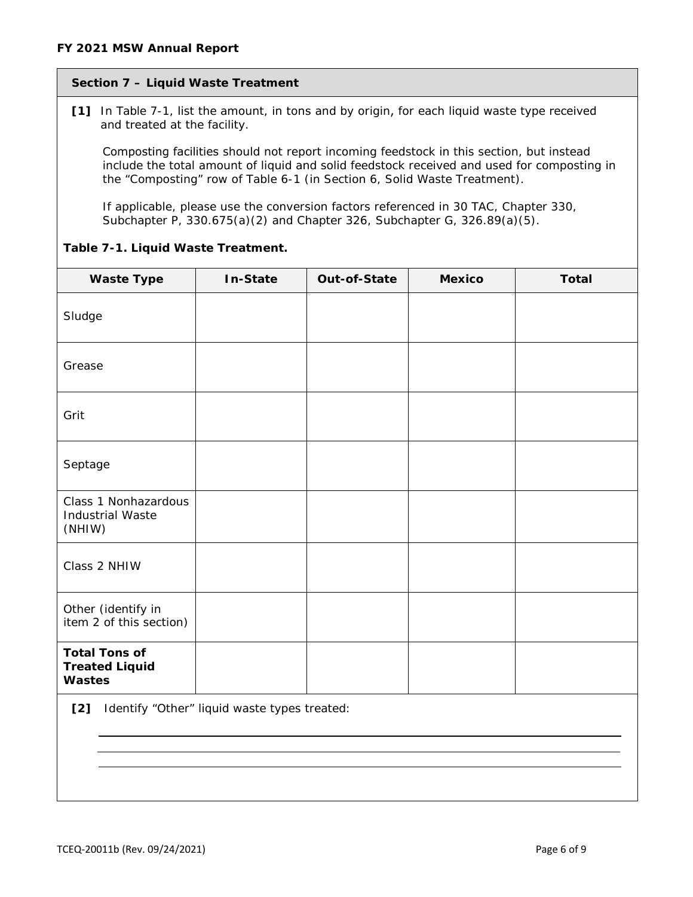# **Section 7 – Liquid Waste Treatment**

**[1]** In Table 7-1, list the amount, in tons and by origin, for each liquid waste type received and treated at the facility.

Composting facilities should not report incoming feedstock in this section, but instead include the total amount of liquid and solid feedstock received and used for composting in the "Composting" row of Table 6-1 (in Section 6, Solid Waste Treatment).

If applicable, please use the conversion factors referenced in 30 TAC, Chapter 330, Subchapter P, 330.675(a)(2) and Chapter 326, Subchapter G, 326.89(a)(5).

| <b>Waste Type</b>                                              | In-State | Out-of-State | <b>Mexico</b> | <b>Total</b> |
|----------------------------------------------------------------|----------|--------------|---------------|--------------|
| Sludge                                                         |          |              |               |              |
| Grease                                                         |          |              |               |              |
| Grit                                                           |          |              |               |              |
| Septage                                                        |          |              |               |              |
| Class 1 Nonhazardous<br><b>Industrial Waste</b><br>(NHIW)      |          |              |               |              |
| Class 2 NHIW                                                   |          |              |               |              |
| Other (identify in<br>item 2 of this section)                  |          |              |               |              |
| <b>Total Tons of</b><br><b>Treated Liquid</b><br><b>Wastes</b> |          |              |               |              |
| Identify "Other" liquid waste types treated:<br>[2]            |          |              |               |              |
|                                                                |          |              |               |              |

## **Table 7-1. Liquid Waste Treatment.**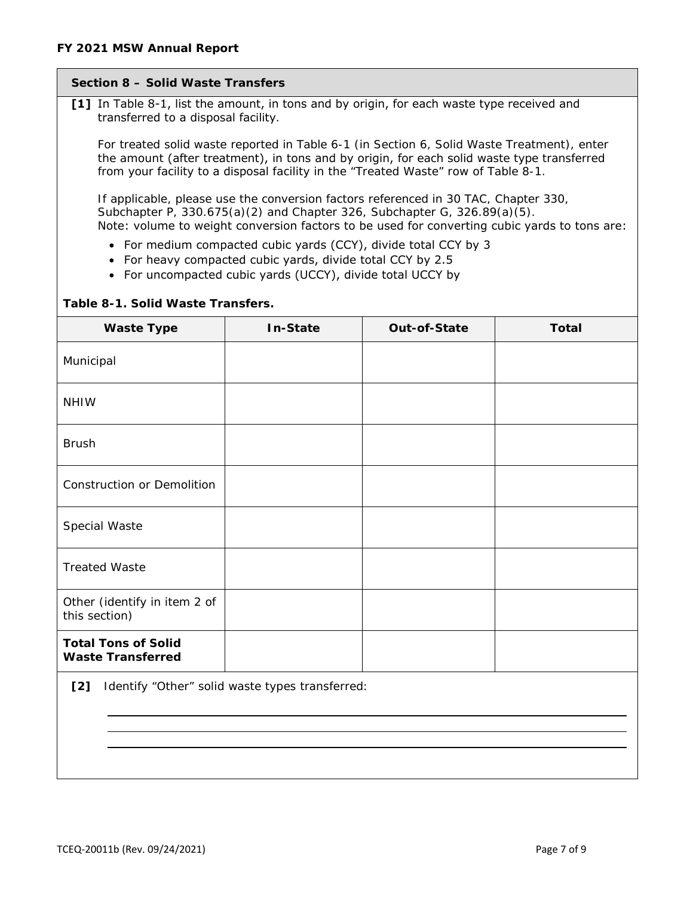## **Section 8 – Solid Waste Transfers**

**[1]** In Table 8-1, list the amount, in tons and by origin, for each waste type received and transferred to a disposal facility.

For treated solid waste reported in Table 6-1 (in Section 6, Solid Waste Treatment), enter the amount (after treatment), in tons and by origin, for each solid waste type transferred from your facility to a disposal facility in the "Treated Waste" row of Table 8-1.

If applicable, please use the conversion factors referenced in 30 TAC, Chapter 330, Subchapter P, 330.675(a)(2) and Chapter 326, Subchapter G, 326.89(a)(5). Note: volume to weight conversion factors to be used for converting cubic yards to tons are:

- For medium compacted cubic yards (CCY), divide total CCY by 3
- For heavy compacted cubic yards, divide total CCY by 2.5
- For uncompacted cubic yards (UCCY), divide total UCCY by

#### **Table 8-1. Solid Waste Transfers.**

| <b>Waste Type</b>                                      | In-State | Out-of-State | <b>Total</b> |
|--------------------------------------------------------|----------|--------------|--------------|
| Municipal                                              |          |              |              |
| <b>NHIW</b>                                            |          |              |              |
| <b>Brush</b>                                           |          |              |              |
| <b>Construction or Demolition</b>                      |          |              |              |
| Special Waste                                          |          |              |              |
| <b>Treated Waste</b>                                   |          |              |              |
| Other (identify in item 2 of<br>this section)          |          |              |              |
| <b>Total Tons of Solid</b><br><b>Waste Transferred</b> |          |              |              |

**[2]** Identify "Other" solid waste types transferred: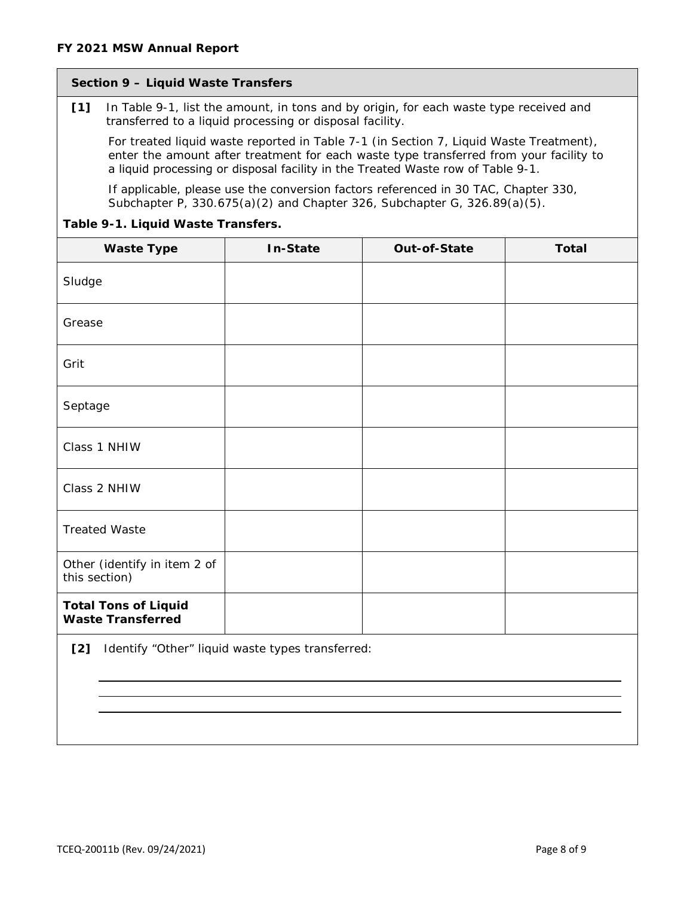## **Section 9 – Liquid Waste Transfers**

**[1]** In Table 9-1, list the amount, in tons and by origin, for each waste type received and transferred to a liquid processing or disposal facility.

For treated liquid waste reported in Table 7-1 (in Section 7, Liquid Waste Treatment), enter the amount *after treatment* for each waste type transferred from your facility to a liquid processing or disposal facility in the Treated Waste row of Table 9-1.

If applicable, please use the conversion factors referenced in 30 TAC, Chapter 330, Subchapter P, 330.675(a)(2) and Chapter 326, Subchapter G, 326.89(a)(5).

## **Table 9-1. Liquid Waste Transfers.**

| <b>Waste Type</b>                                       | <b>In-State</b> | Out-of-State | <b>Total</b> |  |
|---------------------------------------------------------|-----------------|--------------|--------------|--|
| Sludge                                                  |                 |              |              |  |
| Grease                                                  |                 |              |              |  |
| Grit                                                    |                 |              |              |  |
| Septage                                                 |                 |              |              |  |
| Class 1 NHIW                                            |                 |              |              |  |
| Class 2 NHIW                                            |                 |              |              |  |
| <b>Treated Waste</b>                                    |                 |              |              |  |
| Other (identify in item 2 of<br>this section)           |                 |              |              |  |
| <b>Total Tons of Liquid</b><br><b>Waste Transferred</b> |                 |              |              |  |
| [2]<br>Identify "Other" liquid waste types transferred: |                 |              |              |  |